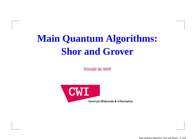# **Main Quantum Algorithms:Shor and Grover**

[Ronald](http://homepages.cwi.nl/~rdewolf) de Wolf



Main Quantum Algorithms: Shor and Grover – p. 1/23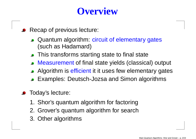#### **Overview**

- Recap of previous lecture:
	- Quantum algorithm: circuit of elementary gates(such as Hadamard)
	- **This transforms starting state to final state**
	- Measurement of final state yields (classical) output
	- Algorithm is <mark>efficient</mark> it it uses few elementary gates
	- **Examples: Deutsch-Jozsa and Simon algorithms**
- **•** Today's lecture:
	- 1. Shor's quantum algorithm for factoring
	- 2. Grover's quantum algorithm for search
	- 3. Other algorithms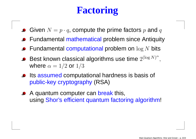# **Factoring**

- Given  $N=p\cdot q,$  compute the prime factors  $p$  and  $q$
- Fundamental mathematical problem since Antiquity
- Fundamental computational problem on  $\log N$  bits
- Best known classical algorithms use time  $2^{(\log N)^{\alpha}},$ where  $\alpha=1/2$  or  $1/3$
- Its assumed computational hardness is basis of public-key cryptography (RSA)
- A quantum computer can break this, using <mark>Shor's efficient quantum factoring algorithm</mark>!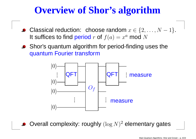# **Overview of Shor's algorithm**

- Classical reduction: choose random  $x \in \{2, \ldots, N\}$ −1}.It suffices to find period  $r$  of  $f(a)=x^a \bmod N$
- Shor's quantum algorithm for period-finding uses thequantum Fourier transform



Overall complexity: roughly  $(\log N)^2$  elementary gates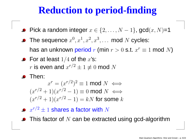## **Reduction to period-finding**

- Pick a random integer  $x \in \{2, \ldots, N\}$  $\,-\,1\}$ , gcd $(x,N)$ =1
- The sequence  $x$ 0 $, x^{\mathbf{-}}$ 1 $, x^{\mathsf{-}}$ 2 $, x^{\mathbf{.}}$ 3 $^3, \ldots$  mod  $N$  cycles: has an unknown <mark>period</mark>  $r$  (min  $r>0$  s.t.  $x^r$  $r\equiv 1$  mod  $N)$
- For at least  $1/4$  of the  $x^{\prime}$ s:  $\overline{a}$  $r$  is even and  $x^{r/\beta}$ 2 $z^2\pm1\not\equiv0$  mod  $N$
- **S** Then:

 $x^r$  $\overline{a}$  $\equiv$  $(x^{r/$ 2 $^{2})^{2}$  $^2$   $\equiv$  1 mod  $N$   $\iff$  $\sim$   $\sim$  $(x^{r/$  $^{2}+1)(x^{r/}$ 2−−  $(1) \equiv 0 \mod N \iff$  $\mathbf{z}$  $(x^{r/$  $^{2}+1)(x^{r/2})$ 2−−−  $(-1) = kN$  for some  $k$ 

- $x^{r/}$ 2 $^2$   $\pm$  1 shares a factor with  $N$
- This factor of  $N$  can be extracted using gcd-algorithm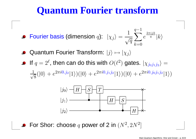#### **Quantum Fourier transform**

Fourier basis (dimension  $q)$ :  $|\chi$  $_j\rangle$ =1 $\sqrt{q}$  $\sum$ 1 $k{=}0$  $\,e\,$  $^{\frac{2\pi ijk}{q}}|k\rangle$ 

- Quantum Fourier Transform:  $|j\rangle \mapsto |\chi_j\rangle$
- If  $q = 2^\ell$ , then can do this with  $O(\ell^2$  $^{2})$  gates.  $|\chi_{j_{0}j_{1}j_{2}}\rangle$ = $\frac{1}{\sqrt{8}}(|0\rangle+e$  $2\pi i 0.j_2$  $|^{2}|1\rangle)(|0\rangle+e$  $2\pi i 0.j_1$  $1\dot{j}_2$  $|^{2}|1\rangle)(|0\rangle+e$  $2\pi i 0.j_0$  $\overline{0j_1}$  $1\dot{j}_2$  $^{\:\!2}\hspace{.1mm} |1\rangle)$



For Shor: choose  $q$  power of 2 in  $(N^2$  $^2, 2N^2$ ]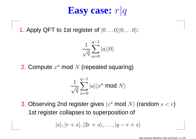# **Easy case:** <sup>r</sup>|<sup>q</sup>

1. Apply QFT to 1st register of  $|0 \ldots 0\rangle|0 \ldots 0\rangle$ :

$$
\frac{1}{\sqrt{q}}\sum_{a=0}^{q-1}|a\rangle|0\rangle
$$

2. Compute  $x^a$  mod  $N$  (repeated squaring)

$$
\frac{1}{\sqrt{q}}\sum_{a=0}^{q-1}|a\rangle|x^a \bmod N\rangle
$$

3. Observing 2nd register gives  $|x^s \bmod N\rangle$  (random  $s < r$ ) 1st register collapses to superposition of

$$
|s\rangle, |r+s\rangle, |2r+s\rangle, \ldots, |q-r+s\rangle
$$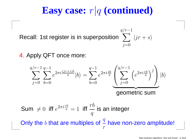# **Easy case:** <sup>r</sup>|<sup>q</sup> **(continued)**

 $q/r-1$ 

 $i=0$ 

 $\sum_{r=1}^{r-1}$  |jr + s $\rangle$ 

Recall: 1st register is in superposition

4. Apply QFT once more:

$$
\sum_{j=0}^{q/r-1} \sum_{b=0}^{q-1} e^{2\pi i \frac{(jr+s)b}{q}} |b\rangle = \sum_{b=0}^{q-1} e^{2\pi i \frac{sb}{q}} \left( \sum_{j=0}^{q/r-1} \left( e^{2\pi i \frac{rb}{q}} \right)^j \right) |b\rangle
$$
  
**geometric sum**

Sum 
$$
\neq 0
$$
 iff  $e^{2\pi i \frac{rb}{q}} = 1$  iff  $\frac{rb}{q}$  is an integer  
Only the *b* that are multiples of  $\frac{q}{r}$  have non-zero amplitude!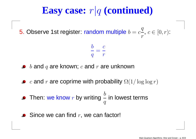# **Easy case:** <sup>r</sup>|<sup>q</sup> **(continued)**

5. Observe 1st register: random multiple  $b=c\frac{q}{r}$ ,  $c \in [0, r)$ :

$$
\frac{b}{q}=\frac{c}{r}
$$

- $\displaystyle b$  and  $\displaystyle q$  are known;  $\displaystyle c$  and  $\displaystyle r$  are unknown
- $c$  and  $r$  are coprime with probability  $\Omega(1/\log\log r)$
- Then: we know**w**  $r$  by writing  $\frac{b}{q}$ in lowest terms
- Since we can find  $r,$  we can factor!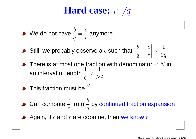#### **Hard case:** <sup>r</sup> $r \not | q$

- We do not have  $\frac{b}{q}$ = $\mathcal C$  $r\,$ anymore
- Still, we probably observe a  $b$  such that  $\left|\frac{b}{q}-\frac{c}{r}\right| \leq \frac{1}{2q}$
- There is at most one fraction with denominator  $< N$  in  $1 \over 1$ an interval of length  $\frac{1}{q}$  $<$ 1 $\overline{N^2}$
- This fraction must be  $\frac{c}{r}$
- Can compute  $\frac{c}{r}$ fromm  $\frac{b}{q}$ by continued fraction expansion
- Again, if  $c$  and  $r$  are coprime, then we know  $r$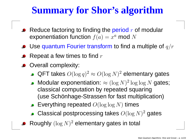# **Summary for Shor's algorithm**

- Reduce factoring to finding the period  $r$  of modular exponentiation function  $f(a) = x^a$  mod  $N$
- Use quantum Fourier transform to find a multiple of  $q/r$
- Repeat a few times to find  $r$
- **Overall complexity:** 
	- QFT takes  $O(\log q)^2$  $^2 \approx O(\log N)^2$  elementary gates
	- Modular exponentiation:  $\approx (\log N)^2 \log \log N$  gates; classical computation by repeated squaring(use Schönhage-Strassen for fast multiplication)
	- Everything repeated  $O(\log \log N)$  times
	- Classical postprocessing takes  $O(\log N)^2$  gates
- Roughly  $(\log N)^2$  elementary gates in total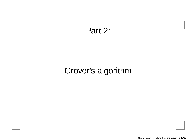#### Part 2:

#### Grover's algorithm

Main Quantum Algorithms: Shor and Grover – p. 12/23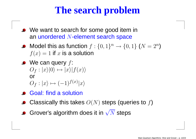### **The search problem**

- We want to search for some good item in an unordered  $N$ -element search space
- Model this as function  $f : \{0,1\}^n \to \{0,1\}$   $(N = 2^n)$  $f(x)=1$  if  $x$  is a solution  $\left( \frac{n}{2}\right)$
- We can query  $f\colon$  $O_f : |x\rangle|0\rangle \mapsto |x\rangle|f(x)\rangle$  or $\hat{O}_f$  $f: |x\rangle \mapsto (-1)^{f(x)}|x\rangle$
- Goal: find <sup>a</sup> solution
- Classically this takes  $O(N)$  steps (queries to  $f$ )
- Grover's algorithm does it in  $\sqrt{N}$  steps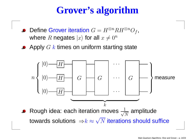# **Grover's algorithm**

- Define Grover iteration  $G=H^\otimes$ where  $R$  negates  $|x\rangle$  for all  $x\neq 0^n$  ${}^{\otimes n}RH^{\otimes}$  $\, n \,$  $^{n}O_{f}$  ,
- Apply  $G\ k$  times on uniform starting state

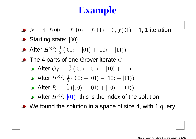# **Example**

- $N = 4$ ,  $f(00) = f(10) = f(11) = 0$ ,  $f(01) = 1$ , 1 iteration
- Starting state:  $|00\rangle$
- After  $H^{\otimes 2}$ :  $\frac{1}{2}$  ( $\ket{00} + \ket{01} + \ket{10} + \ket{11})$
- The 4 parts of one Grover iterate  $G$ :
	- After  $O_f$ :  $\frac{1}{2}$  ( $|00\rangle-|01\rangle + |10\rangle + |11\rangle)$
	- After  $H^{\otimes 2}\text{:}~ \frac{1}{2} \left( |00\rangle + |01\rangle |10\rangle + |11\rangle \right)$
	- After  $R$ :  $\frac{1}{2}$  ( $|00\rangle |01\rangle + |10\rangle |11\rangle)$
	- After  $H^{\otimes 2}\mathpunct{:}\ket{01}$ , this is the index of the solution!
- We found the solution in <sup>a</sup> space of size 4, with <sup>1</sup> query!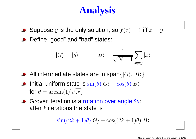# **Analysis**

- Suppose  $y$  is the only solution, so  $f(x) = 1$  iff  $x = y$
- Define "good" and "bad" states:

$$
|G\rangle = |y\rangle
$$
  $|B\rangle = \frac{1}{\sqrt{N-1}} \sum_{x \neq y} |x\rangle$ 

- All intermediate states are in span $\{|G\rangle, |B\rangle\}$
- Initial uniform state is  $\sin(\theta)|G\rangle + \cos(\theta)|B\rangle$ for  $\theta=\arcsin(1/\sqrt{N})$
- Grover iteration is a rotation over angle  $2\theta$ : after  $k$  iterations the state is

$$
\sin((2k+1)\theta)|G\rangle + \cos((2k+1)\theta)|B\rangle
$$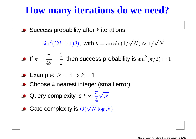#### **How many iterations do we need?**

Success probability after  $k$  iterations:

 $\sin^2((2k+1)\theta),$  with  $\theta=\arcsin(1/\sqrt{N})\approx 1/\sqrt{N}$ 

Iff  $k=$  $\pi$  $\overline{4\theta}$   $\overline{\phantom{1}}$ 1 $\frac{1}{2}$ , then success probability is  $\sin^2$  $^2(\pi/2)=1$ 

• Example: 
$$
N = 4 \Rightarrow k = 1
$$

- Choose  $k$  nearest integer (small error)
- Query complexity is  $k\approx$  $\pi$  4 $\sqrt N$
- Gate complexity is  $O(\sqrt{N}\log N)$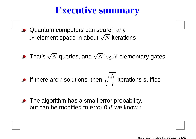#### **Executive summary**

- **Quantum computers can search any**  $N$ -element space in about  $\sqrt{N}$  iterations
- That's  $\sqrt{N}$  queries, and  $\sqrt{N}\log N$  elementary gates

• If there are 
$$
t
$$
 solutions, then  $\sqrt{\frac{N}{t}}$  iterations suffice

• The algorithm has a small error probability, but can be modified to error 0 *if* we know  $t$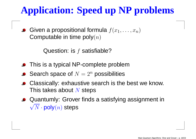# **Application: Speed up NP problems**

Given a propositional formula  $f(x_1, \dots, x_n)$ Computable in time poly $\left( n\right)$ 

Question: is  $f$  satisfiable?

- **•** This is a typical NP-complete problem
- Search space of  $N=2^n$  possibilities
- Classically: exhaustive search is the best we know. This takes about  $N$  steps
- Quantumly: Grover finds <sup>a</sup> satisfying assignment in $\sqrt{N} \cdot \textsf{poly}(n)$  steps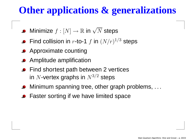## **Other applications & generalizations**

- Minimize  $f: [N] \rightarrow \mathbb{R}$  in  $\sqrt{N}$  steps
- Find collision in  $r$ -to-1  $f$  in  $(N/r)^{\mathbb{1}}$  $1/$  $^3$  steps
- **Approximate counting**
- **•** Amplitude amplification
- Find shortest path between 2 vertices in  $N$ -vertex graphs in  $N^3$  $3/$  $^{\rm 2}$  steps
- Minimum spanning tree, other graph problems, ...
- **•** Faster sorting if we have limited space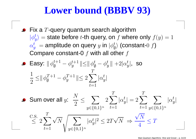#### **Lower bound (BBBV 93)**

Fix a  $T$ -query quantum search algorithm  $\alpha$  ctota hafara  $\pm$  th quary and  $\pm$  who  $|\phi_y^t\rangle$  $\mathcal{L}$  , and the contract of the contract of the contract of the contract of the contract of the contract of the contract of the contract of the contract of the contract of the contract of the contract of the contract o == state before *t*-th query, on f where only  $f(y) = 1$  $\alpha$ Compare constant-0  $f$  with all other  $f$  $\frac{t}{y} \; =$  $\mathcal{A}=\mathsf{amplitude}$  on query  $y$  in  $\ket{\phi_\emptyset^t}$  (constant-0  $f$ )

■ **Easy:** 
$$
\|\phi_{\emptyset}^{t+1} - \phi_{y}^{t+1}\| \le \|\phi_{\emptyset}^{t} - \phi_{y}^{t}\| + 2|\alpha_{y}^{t}|
$$
, so  $\frac{1}{2} \le \|\phi_{\emptyset}^{T+1} - \phi_{y}^{T+1}\| \le 2 \sum_{t=1}^{T} |\alpha_{y}^{t}|$ 

\n- \n Sum over all *y*: \n 
$$
\frac{N}{2} \leq \sum_{y \in \{0,1\}^n} 2 \sum_{t=1}^T |\alpha_y^t| = 2 \sum_{t=1}^T \sum_{y \in \{0,1\}^n} |\alpha_y^t|
$$
\n  $\leq 2 \sum_{t=1}^T \sqrt{N} \sqrt{\sum_{y \in \{0,1\}^n} |\alpha_y^t|^2} \leq 2T\sqrt{N} \Rightarrow \frac{\sqrt{N}}{4} \leq T$ \n
\n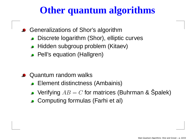### **Other quantum algorithms**

- Generalizations of Shor's algorithm
	- Discrete logarithm (Shor), elliptic curves
	- Hidden subgroup problem (Kitaev)
	- **Pell's equation (Hallgren)**
- **Quantum random walks** 
	- Element distinctness (Ambainis)
	- Verifying  $AB$  $=C$  for matrices (Buhrman & Špalek)
	- Computing formulas (Farhi et al)